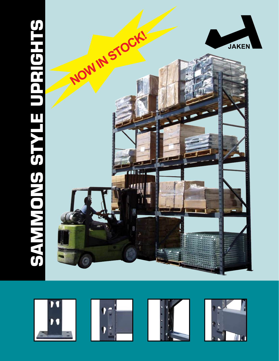